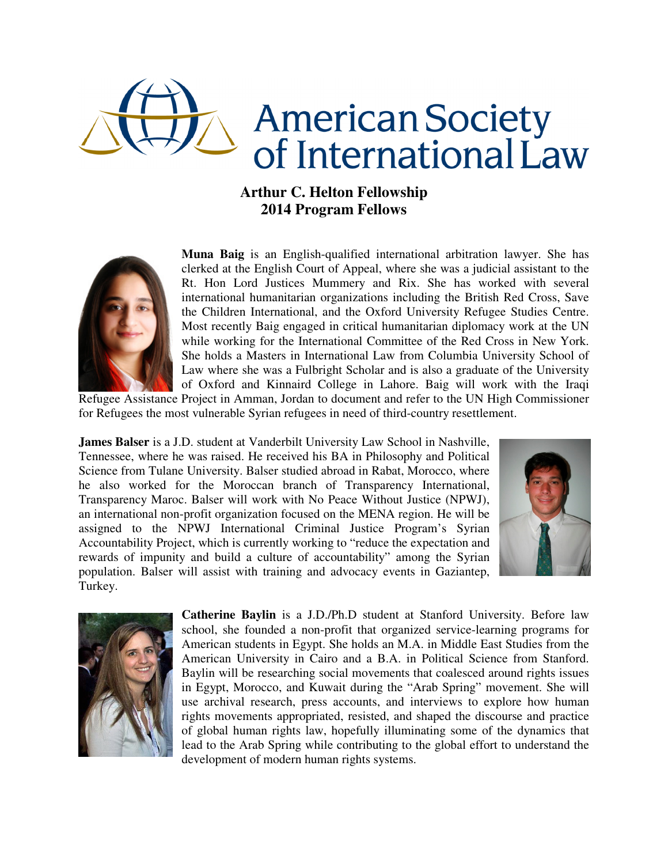

## **Arthur C. Helton Fellowship 2014 Program Fellows**



**Muna Baig** is an English-qualified international arbitration lawyer. She has clerked at the English Court of Appeal, where she was a judicial assistant to the Rt. Hon Lord Justices Mummery and Rix. She has worked with several international humanitarian organizations including the British Red Cross, Save the Children International, and the Oxford University Refugee Studies Centre. Most recently Baig engaged in critical humanitarian diplomacy work at the UN while working for the International Committee of the Red Cross in New York. She holds a Masters in International Law from Columbia University School of Law where she was a Fulbright Scholar and is also a graduate of the University of Oxford and Kinnaird College in Lahore. Baig will work with the Iraqi

Refugee Assistance Project in Amman, Jordan to document and refer to the UN High Commissioner for Refugees the most vulnerable Syrian refugees in need of third-country resettlement.

**James Balser** is a J.D. student at Vanderbilt University Law School in Nashville, Tennessee, where he was raised. He received his BA in Philosophy and Political Science from Tulane University. Balser studied abroad in Rabat, Morocco, where he also worked for the Moroccan branch of Transparency International, Transparency Maroc. Balser will work with No Peace Without Justice (NPWJ), an international non-profit organization focused on the MENA region. He will be assigned to the NPWJ International Criminal Justice Program's Syrian Accountability Project, which is currently working to "reduce the expectation and rewards of impunity and build a culture of accountability" among the Syrian population. Balser will assist with training and advocacy events in Gaziantep, Turkey.





**Catherine Baylin** is a J.D./Ph.D student at Stanford University. Before law school, she founded a non-profit that organized service-learning programs for American students in Egypt. She holds an M.A. in Middle East Studies from the American University in Cairo and a B.A. in Political Science from Stanford. Baylin will be researching social movements that coalesced around rights issues in Egypt, Morocco, and Kuwait during the "Arab Spring" movement. She will use archival research, press accounts, and interviews to explore how human rights movements appropriated, resisted, and shaped the discourse and practice of global human rights law, hopefully illuminating some of the dynamics that lead to the Arab Spring while contributing to the global effort to understand the development of modern human rights systems.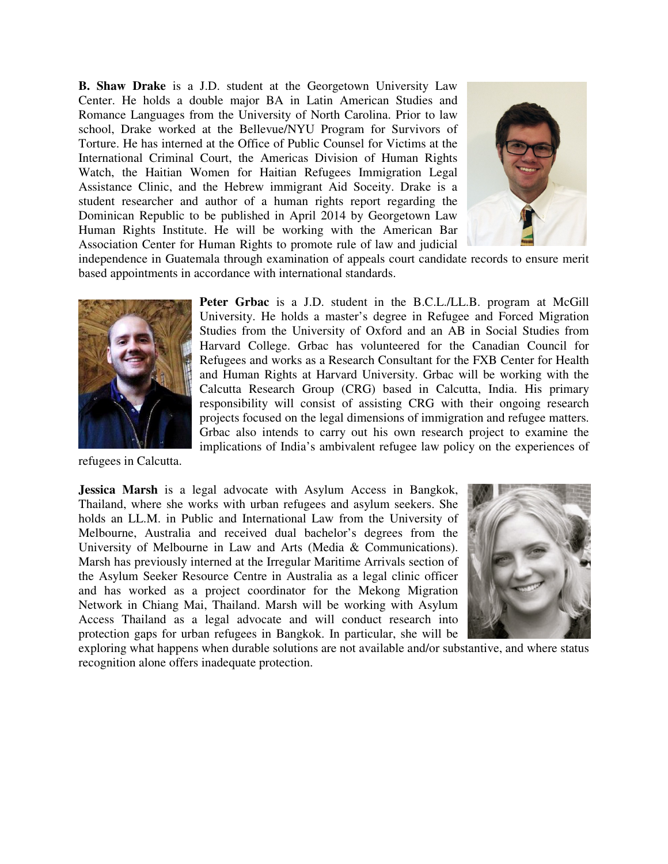**B. Shaw Drake** is a J.D. student at the Georgetown University Law Center. He holds a double major BA in Latin American Studies and Romance Languages from the University of North Carolina. Prior to law school, Drake worked at the Bellevue/NYU Program for Survivors of Torture. He has interned at the Office of Public Counsel for Victims at the International Criminal Court, the Americas Division of Human Rights Watch, the Haitian Women for Haitian Refugees Immigration Legal Assistance Clinic, and the Hebrew immigrant Aid Soceity. Drake is a student researcher and author of a human rights report regarding the Dominican Republic to be published in April 2014 by Georgetown Law Human Rights Institute. He will be working with the American Bar Association Center for Human Rights to promote rule of law and judicial



independence in Guatemala through examination of appeals court candidate records to ensure merit based appointments in accordance with international standards.



**Peter Grbac** is a J.D. student in the B.C.L./LL.B. program at McGill University. He holds a master's degree in Refugee and Forced Migration Studies from the University of Oxford and an AB in Social Studies from Harvard College. Grbac has volunteered for the Canadian Council for Refugees and works as a Research Consultant for the FXB Center for Health and Human Rights at Harvard University. Grbac will be working with the Calcutta Research Group (CRG) based in Calcutta, India. His primary responsibility will consist of assisting CRG with their ongoing research projects focused on the legal dimensions of immigration and refugee matters. Grbac also intends to carry out his own research project to examine the implications of India's ambivalent refugee law policy on the experiences of

refugees in Calcutta.

**Jessica Marsh** is a legal advocate with Asylum Access in Bangkok, Thailand, where she works with urban refugees and asylum seekers. She holds an LL.M. in Public and International Law from the University of Melbourne, Australia and received dual bachelor's degrees from the University of Melbourne in Law and Arts (Media & Communications). Marsh has previously interned at the Irregular Maritime Arrivals section of the Asylum Seeker Resource Centre in Australia as a legal clinic officer and has worked as a project coordinator for the Mekong Migration Network in Chiang Mai, Thailand. Marsh will be working with Asylum Access Thailand as a legal advocate and will conduct research into protection gaps for urban refugees in Bangkok. In particular, she will be



exploring what happens when durable solutions are not available and/or substantive, and where status recognition alone offers inadequate protection.